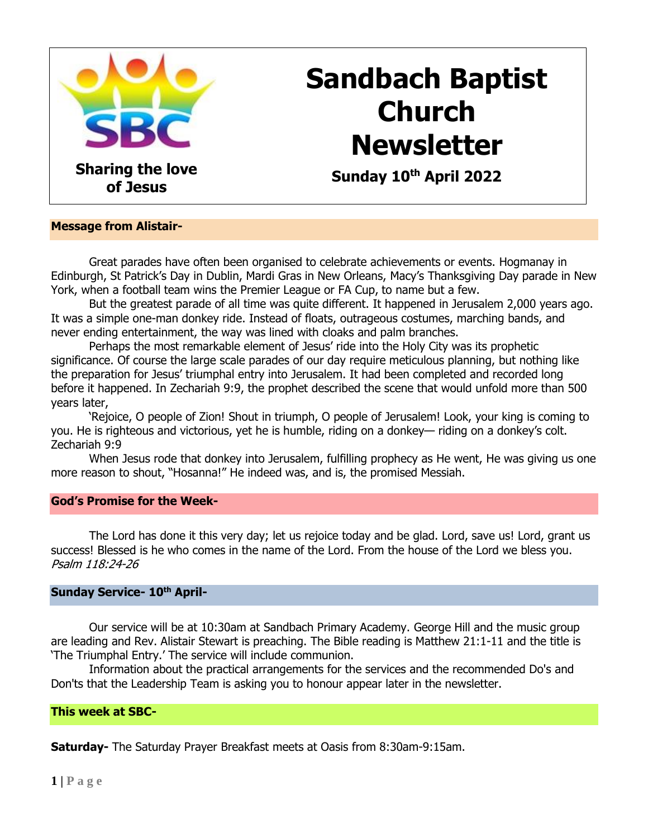

# **Sandbach Baptist Church Newsletter**

 **Sunday 10th April 2022**

#### **Message from Alistair-**

Great parades have often been organised to celebrate achievements or events. Hogmanay in Edinburgh, St Patrick's Day in Dublin, Mardi Gras in New Orleans, Macy's Thanksgiving Day parade in New York, when a football team wins the Premier League or FA Cup, to name but a few.

But the greatest parade of all time was quite different. It happened in Jerusalem 2,000 years ago. It was a simple one-man donkey ride. Instead of floats, outrageous costumes, marching bands, and never ending entertainment, the way was lined with cloaks and palm branches.

Perhaps the most remarkable element of Jesus' ride into the Holy City was its prophetic significance. Of course the large scale parades of our day require meticulous planning, but nothing like the preparation for Jesus' triumphal entry into Jerusalem. It had been completed and recorded long before it happened. In [Zechariah 9:9,](https://biblia.com/bible/niv/Zech%209.9) the prophet described the scene that would unfold more than 500 years later,

'Rejoice, O people of Zion! Shout in triumph, O people of Jerusalem! Look, your king is coming to you. He is righteous and victorious, yet he is humble, riding on a donkey— riding on a donkey's colt. Zechariah 9:9

When Jesus rode that donkey into Jerusalem, fulfilling prophecy as He went, He was giving us one more reason to shout, "Hosanna!" He indeed was, and is, the promised Messiah.

#### **God's Promise for the Week-**

The Lord has done it this very day; let us rejoice today and be glad. Lord, save us! Lord, grant us success! Blessed is he who comes in the name of the Lord. From the house of the Lord we bless you. Psalm 118:24-26

#### **Sunday Service- 10th April-**

Our service will be at 10:30am at Sandbach Primary Academy. George Hill and the music group are leading and Rev. Alistair Stewart is preaching. The Bible reading is Matthew 21:1-11 and the title is 'The Triumphal Entry.' The service will include communion.

Information about the practical arrangements for the services and the recommended Do's and Don'ts that the Leadership Team is asking you to honour appear later in the newsletter.

**This week at SBC-**

**Saturday-** The Saturday Prayer Breakfast meets at Oasis from 8:30am-9:15am.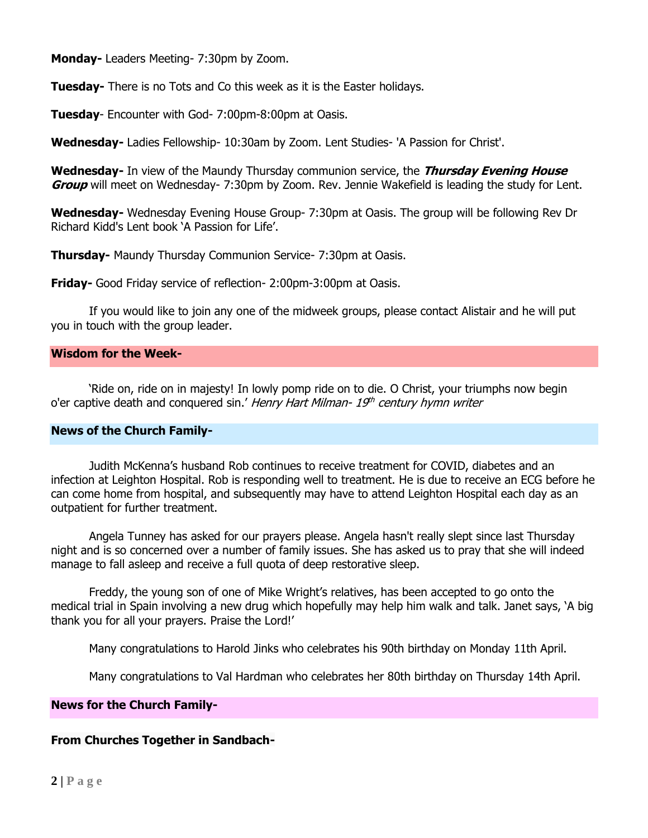**Monday-** Leaders Meeting- 7:30pm by Zoom.

**Tuesday-** There is no Tots and Co this week as it is the Easter holidays.

**Tuesday**- Encounter with God- 7:00pm-8:00pm at Oasis.

**Wednesday-** Ladies Fellowship- 10:30am by Zoom. Lent Studies- 'A Passion for Christ'.

**Wednesday-** In view of the Maundy Thursday communion service, the **Thursday Evening House Group** will meet on Wednesday- 7:30pm by Zoom. Rev. Jennie Wakefield is leading the study for Lent.

**Wednesday-** Wednesday Evening House Group- 7:30pm at Oasis. The group will be following Rev Dr Richard Kidd's Lent book 'A Passion for Life'.

**Thursday-** Maundy Thursday Communion Service- 7:30pm at Oasis.

**Friday-** Good Friday service of reflection- 2:00pm-3:00pm at Oasis.

If you would like to join any one of the midweek groups, please contact Alistair and he will put you in touch with the group leader.

#### **Wisdom for the Week-**

'Ride on, ride on in majesty! In lowly pomp ride on to die. O Christ, your triumphs now begin o'er captive death and conquered sin.' Henry Hart Milman- 19th century hymn writer

#### **News of the Church Family-**

Judith McKenna's husband Rob continues to receive treatment for COVID, diabetes and an infection at Leighton Hospital. Rob is responding well to treatment. He is due to receive an ECG before he can come home from hospital, and subsequently may have to attend Leighton Hospital each day as an outpatient for further treatment.

Angela Tunney has asked for our prayers please. Angela hasn't really slept since last Thursday night and is so concerned over a number of family issues. She has asked us to pray that she will indeed manage to fall asleep and receive a full quota of deep restorative sleep.

Freddy, the young son of one of Mike Wright's relatives, has been accepted to go onto the medical trial in Spain involving a new drug which hopefully may help him walk and talk. Janet says, 'A big thank you for all your prayers. Praise the Lord!'

Many congratulations to Harold Jinks who celebrates his 90th birthday on Monday 11th April.

Many congratulations to Val Hardman who celebrates her 80th birthday on Thursday 14th April.

#### **News for the Church Family-**

## **From Churches Together in Sandbach-**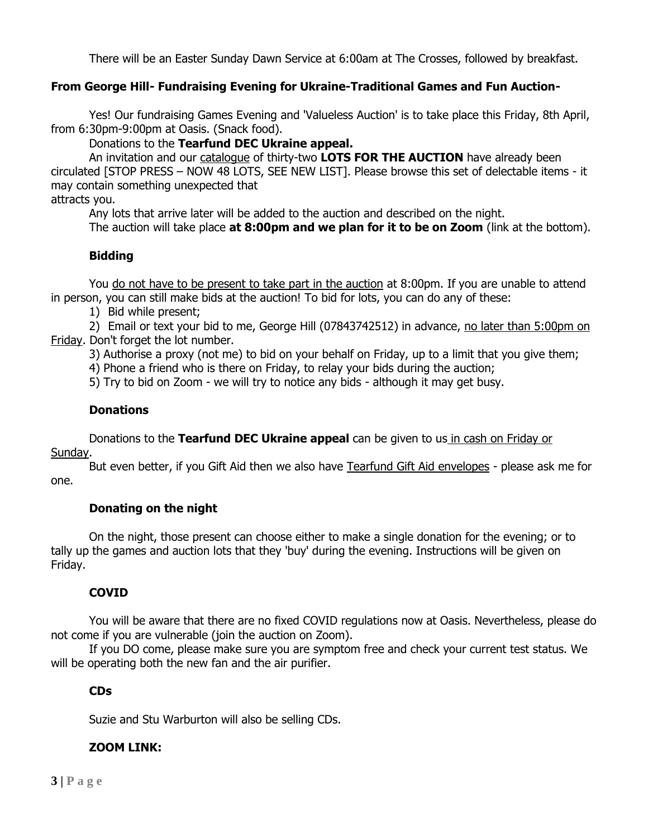There will be an Easter Sunday Dawn Service at 6:00am at The Crosses, followed by breakfast.

## **From George Hill- Fundraising Evening for Ukraine-Traditional Games and Fun Auction-**

Yes! Our fundraising Games Evening and 'Valueless Auction' is to take place this Friday, 8th April, from 6:30pm-9:00pm at Oasis. (Snack food).

Donations to the **Tearfund DEC Ukraine appeal.**

An invitation and our catalogue of thirty-two **LOTS FOR THE AUCTION** have already been circulated [STOP PRESS – NOW 48 LOTS, SEE NEW LIST]. Please browse this set of delectable items - it may contain something unexpected that

attracts you.

Any lots that arrive later will be added to the auction and described on the night.

The auction will take place **at 8:00pm and we plan for it to be on Zoom** (link at the bottom).

## **Bidding**

You do not have to be present to take part in the auction at 8:00pm. If you are unable to attend in person, you can still make bids at the auction! To bid for lots, you can do any of these:

1) Bid while present;

2) Email or text your bid to me, George Hill (07843742512) in advance, no later than 5:00pm on Friday. Don't forget the lot number.

3) Authorise a proxy (not me) to bid on your behalf on Friday, up to a limit that you give them;

4) Phone a friend who is there on Friday, to relay your bids during the auction;

5) Try to bid on Zoom - we will try to notice any bids - although it may get busy.

## **Donations**

Donations to the **Tearfund DEC Ukraine appeal** can be given to us in cash on Friday or Sunday.

But even better, if you Gift Aid then we also have Tearfund Gift Aid envelopes - please ask me for one.

## **Donating on the night**

On the night, those present can choose either to make a single donation for the evening; or to tally up the games and auction lots that they 'buy' during the evening. Instructions will be given on Friday.

## **COVID**

You will be aware that there are no fixed COVID regulations now at Oasis. Nevertheless, please do not come if you are vulnerable (join the auction on Zoom).

If you DO come, please make sure you are symptom free and check your current test status. We will be operating both the new fan and the air purifier.

## **CDs**

Suzie and Stu Warburton will also be selling CDs.

## **ZOOM LINK:**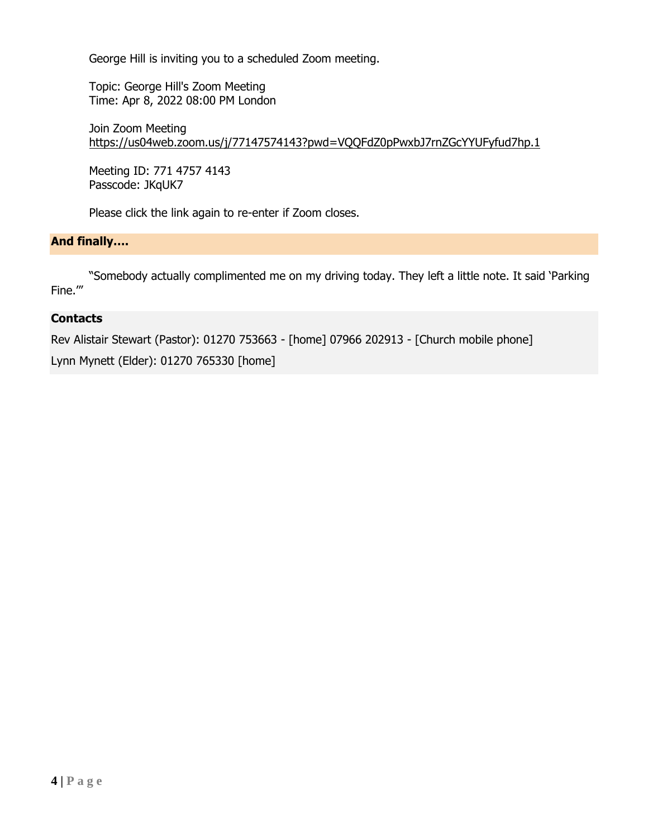George Hill is inviting you to a scheduled Zoom meeting.

Topic: George Hill's Zoom Meeting Time: Apr 8, 2022 08:00 PM London

Join Zoom Meeting <https://us04web.zoom.us/j/77147574143?pwd=VQQFdZ0pPwxbJ7rnZGcYYUFyfud7hp.1>

Meeting ID: 771 4757 4143 Passcode: JKqUK7

Please click the link again to re-enter if Zoom closes.

# **And finally….**

"Somebody actually complimented me on my driving today. They left a little note. It said 'Parking Fine.'"

## **Contacts**

Rev Alistair Stewart (Pastor): 01270 753663 - [home] 07966 202913 - [Church mobile phone]

Lynn Mynett (Elder): 01270 765330 [home]